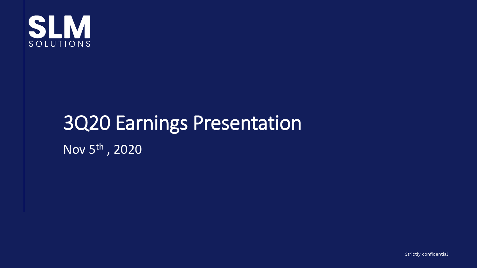

## 3Q20 Earnings Presentation Nov 5th , 2020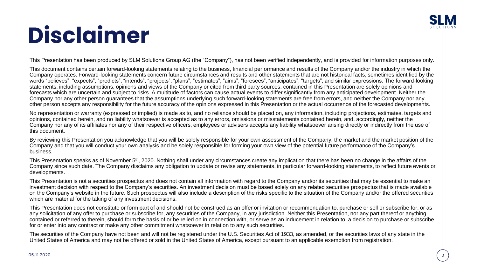

## **Disclaimer**

This Presentation has been produced by SLM Solutions Group AG (the "Company"), has not been verified independently, and is provided for information purposes only.

This document contains certain forward-looking statements relating to the business, financial performance and results of the Company and/or the industry in which the Company operates. Forward-looking statements concern future circumstances and results and other statements that are not historical facts, sometimes identified by the words "believes", "expects", "predicts", "intends", "projects", "plans", "estimates", "aims", "foresees", "anticipates", "targets", and similar expressions. The forward-looking statements, including assumptions, opinions and views of the Company or cited from third party sources, contained in this Presentation are solely opinions and forecasts which are uncertain and subject to risks. A multitude of factors can cause actual events to differ significantly from any anticipated development. Neither the Company nor any other person guarantees that the assumptions underlying such forward-looking statements are free from errors, and neither the Company nor any other person accepts any responsibility for the future accuracy of the opinions expressed in this Presentation or the actual occurrence of the forecasted developments.

No representation or warranty (expressed or implied) is made as to, and no reliance should be placed on, any information, including projections, estimates, targets and opinions, contained herein, and no liability whatsoever is accepted as to any errors, omissions or misstatements contained herein, and, accordingly, neither the Company nor any of its affiliates nor any of their respective officers, employees or advisers accepts any liability whatsoever arising directly or indirectly from the use of this document.

By reviewing this Presentation you acknowledge that you will be solely responsible for your own assessment of the Company, the market and the market position of the Company and that you will conduct your own analysis and be solely responsible for forming your own view of the potential future performance of the Company's business.

This Presentation speaks as of November 5<sup>th</sup>, 2020. Nothing shall under any circumstances create any implication that there has been no change in the affairs of the Company since such date. The Company disclaims any obligation to update or revise any statements, in particular forward-looking statements, to reflect future events or developments.

This Presentation is not a securities prospectus and does not contain all information with regard to the Company and/or its securities that may be essential to make an investment decision with respect to the Company's securities. An investment decision must be based solely on any related securities prospectus that is made available on the Company's website in the future. Such prospectus will also include a description of the risks specific to the situation of the Company and/or the offered securities which are material for the taking of any investment decisions.

This Presentation does not constitute or form part of and should not be construed as an offer or invitation or recommendation to, purchase or sell or subscribe for, or as any solicitation of any offer to purchase or subscribe for, any securities of the Company, in any jurisdiction. Neither this Presentation, nor any part thereof or anything contained or referred to therein, should form the basis of or be relied on in connection with, or serve as an inducement in relation to, a decision to purchase or subscribe for or enter into any contract or make any other commitment whatsoever in relation to any such securities.

The securities of the Company have not been and will not be registered under the U.S. Securities Act of 1933, as amended, or the securities laws of any state in the United States of America and may not be offered or sold in the United States of America, except pursuant to an applicable exemption from registration.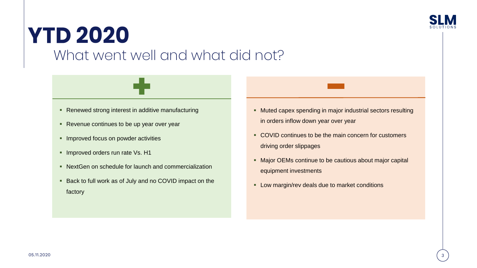

### **YTD 2020** What went well and what did not?

- Renewed strong interest in additive manufacturing
- Revenue continues to be up year over year
- **E** Improved focus on powder activities
- **· Improved orders run rate Vs. H1**
- NextGen on schedule for launch and commercialization
- Back to full work as of July and no COVID impact on the factory
- Muted capex spending in major industrial sectors resulting in orders inflow down year over year
- COVID continues to be the main concern for customers driving order slippages
- Major OEMs continue to be cautious about major capital equipment investments
- **EXECT** Low margin/rev deals due to market conditions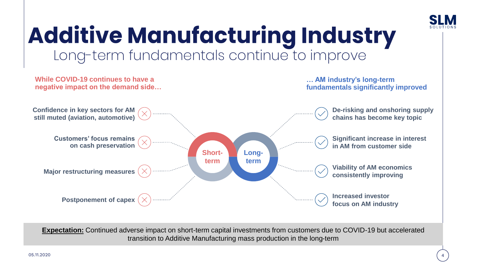

## **Additive Manufacturing Industry** Long-term fundamentals continue to improve



**Expectation:** Continued adverse impact on short-term capital investments from customers due to COVID-19 but accelerated transition to Additive Manufacturing mass production in the long-term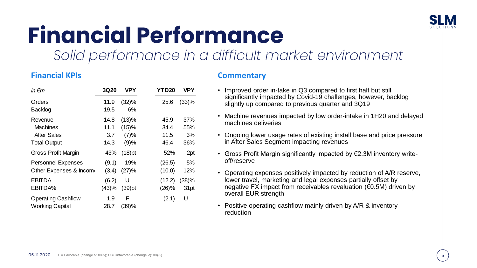

## **Financial Performance**

*Solid performance in a difficult market environment* 

#### **Financial KPIs Commentary**

| in $\epsilon$ m                                                         | <b>3Q20</b>                 | <b>VPY</b>                     | <b>YTD20</b>                 | <b>VPY</b>              |
|-------------------------------------------------------------------------|-----------------------------|--------------------------------|------------------------------|-------------------------|
| Orders<br><b>Backlog</b>                                                | 11.9<br>19.5                | (32)%<br>6%                    | 25.6                         | (33)%                   |
| Revenue<br><b>Machines</b><br><b>After Sales</b><br><b>Total Output</b> | 14.8<br>11.1<br>3.7<br>14.3 | (13)%<br>(15)%<br>(7)%<br>(9)% | 45.9<br>34.4<br>11.5<br>46.4 | 37%<br>55%<br>3%<br>36% |
| Gross Profit Margin                                                     | 43%                         | $(18)$ pt                      | 52%                          | 2pt                     |
| <b>Personnel Expenses</b><br>Other Expenses & Income                    | (9.1)<br>(3.4)              | 19%<br>(27)%                   | (26.5)<br>(10.0)             | 5%<br>12%               |
| <b>EBITDA</b><br>EBITDA%                                                | (6.2)<br>(43)%              | U<br>$(39)$ pt                 | (12.2)<br>(26)%              | (38)%<br>31pt           |
| <b>Operating Cashflow</b><br><b>Working Capital</b>                     | 1.9<br>28.7                 | F<br>(39)%                     | (2.1)                        | U                       |

- Improved order in-take in Q3 compared to first half but still significantly impacted by Covid-19 challenges, however, backlog slightly up compared to previous quarter and 3Q19
- Machine revenues impacted by low order-intake in 1H20 and delayed machines deliveries
- Ongoing lower usage rates of existing install base and price pressure in After Sales Segment impacting revenues
- Gross Profit Margin significantly impacted by €2.3M inventory writeoff/reserve
- Operating expenses positively impacted by reduction of A/R reserve, lower travel, marketing and legal expenses partially offset by negative FX impact from receivables revaluation (€0.5M) driven by overall EUR strength
- Positive operating cashflow mainly driven by A/R & inventory reduction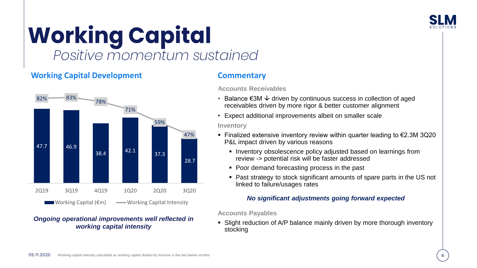

# *Positive momentum sustained*

### **Working Capital Development**



#### *Ongoing operational improvements well reflected in working capital intensity*

#### **Commentary**

**Accounts Receivables** 

- Balance €3M  $\downarrow$  driven by continuous success in collection of aged receivables driven by more rigor & better customer alignment
	- Expect additional improvements albeit on smaller scale

#### **Inventory** 60%

- Finalized extensive inventory review within quarter leading to €2.3M 3Q20 P&L impact driven by various reasons
	- **EXECT:** Inventory obsolescence policy adjusted based on learnings from review -> potential risk will be faster addressed
	- Poor demand forecasting process in the past
	- Past strategy to stock significant amounts of spare parts in the US not linked to failure/usages rates

#### *No significant adjustments going forward expected*

**Accounts Payables**

■ Slight reduction of A/P balance mainly driven by more thorough inventory stocking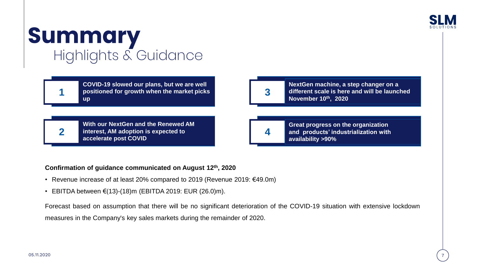

# **Summary**<br>Highlights & Guidance

**1 up**

**2**

**COVID-19 slowed our plans, but we are well positioned for growth when the market picks** 

**3**

**NextGen machine, a step changer on a different scale is here and will be launched November 10th, 2020**

**With our NextGen and the Renewed AM interest, AM adoption is expected to accelerate post COVID**

**4**

**Great progress on the organization and products' industrialization with availability >90%**

#### **Confirmation of guidance communicated on August 12th , 2020**

- Revenue increase of at least 20% compared to 2019 (Revenue 2019: €49.0m)
- EBITDA between €(13)-(18)m (EBITDA 2019: EUR (26.0)m).

Forecast based on assumption that there will be no significant deterioration of the COVID-19 situation with extensive lockdown measures in the Company's key sales markets during the remainder of 2020.